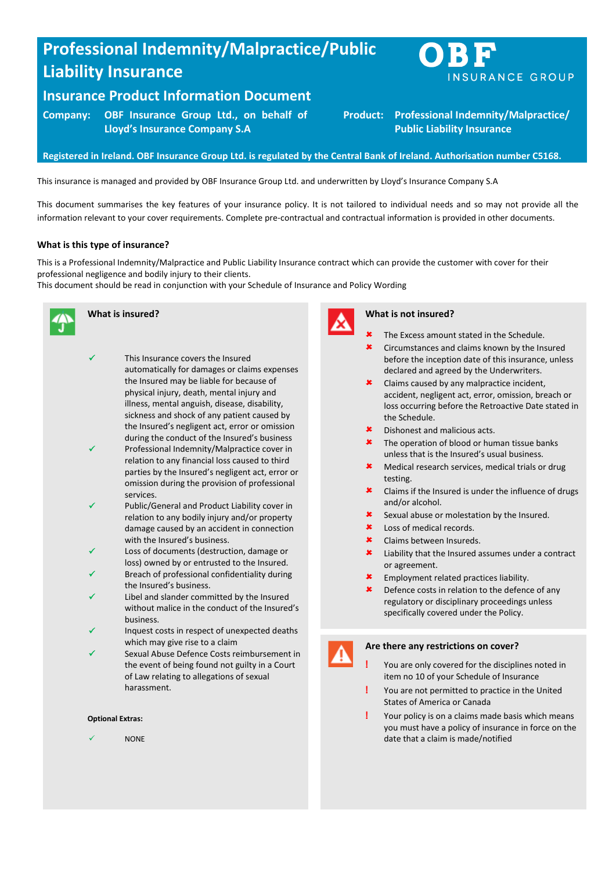# **Professional Indemnity/Malpractice/Public Liability Insurance**

# **Insurance Product Information Document**

**Company: OBF Insurance Group Ltd., on behalf of Lloyd's Insurance Company S.A**

**Registered in Ireland. OBF Insurance Group Ltd. is regulated by the Central Bank of Ireland. Authorisation number C5168.**

This insurance is managed and provided by OBF Insurance Group Ltd. and underwritten by Lloyd's Insurance Company S.A

This document summarises the key features of your insurance policy. It is not tailored to individual needs and so may not provide all the information relevant to your cover requirements. Complete pre-contractual and contractual information is provided in other documents.

# **What is this type of insurance?**

This is a Professional Indemnity/Malpractice and Public Liability Insurance contract which can provide the customer with cover for their professional negligence and bodily injury to their clients.

This document should be read in conjunction with your Schedule of Insurance and Policy Wording



# **What is insured?**

- This Insurance covers the Insured automatically for damages or claims expenses the Insured may be liable for because of physical injury, death, mental injury and illness, mental anguish, disease, disability, sickness and shock of any patient caused by the Insured's negligent act, error or omission during the conduct of the Insured's business Professional Indemnity/Malpractice cover in
- relation to any financial loss caused to third parties by the Insured's negligent act, error or omission during the provision of professional services.
- Public/General and Product Liability cover in relation to any bodily injury and/or property damage caused by an accident in connection with the Insured's business.
- Loss of documents (destruction, damage or loss) owned by or entrusted to the Insured.
- Breach of professional confidentiality during the Insured's business.
- Libel and slander committed by the Insured without malice in the conduct of the Insured's business.
- Inquest costs in respect of unexpected deaths which may give rise to a claim
- Sexual Abuse Defence Costs reimbursement in the event of being found not guilty in a Court of Law relating to allegations of sexual harassment.

#### **Optional Extras:**

NONE



#### **What is not insured?**

The Excess amount stated in the Schedule.

**Product: Professional Indemnity/Malpractice/ Public Liability Insurance** 

- **\*** Circumstances and claims known by the Insured before the inception date of this insurance, unless declared and agreed by the Underwriters.
- Claims caused by any malpractice incident, accident, negligent act, error, omission, breach or loss occurring before the Retroactive Date stated in the Schedule.
- Dishonest and malicious acts.
- **\*** The operation of blood or human tissue banks unless that is the Insured's usual business.
- **\*** Medical research services, medical trials or drug testing.
- **\*** Claims if the Insured is under the influence of drugs and/or alcohol.
- Sexual abuse or molestation by the Insured.
- **\*** Loss of medical records.
- Claims between Insureds.
- **\*** Liability that the Insured assumes under a contract or agreement.
- Employment related practices liability.
- **\*** Defence costs in relation to the defence of any regulatory or disciplinary proceedings unless specifically covered under the Policy.



### **Are there any restrictions on cover?**

- **!** You are only covered for the disciplines noted in item no 10 of your Schedule of Insurance
- **!** You are not permitted to practice in the United States of America or Canada
- **!** Your policy is on a claims made basis which means you must have a policy of insurance in force on the date that a claim is made/notified